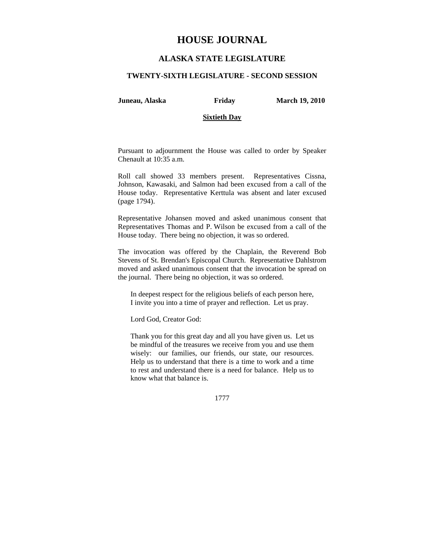# **HOUSE JOURNAL**

# **ALASKA STATE LEGISLATURE**

## **TWENTY-SIXTH LEGISLATURE - SECOND SESSION**

**Juneau, Alaska Friday March 19, 2010** 

# **Sixtieth Day**

Pursuant to adjournment the House was called to order by Speaker Chenault at 10:35 a.m.

Roll call showed 33 members present. Representatives Cissna, Johnson, Kawasaki, and Salmon had been excused from a call of the House today. Representative Kerttula was absent and later excused (page 1794).

Representative Johansen moved and asked unanimous consent that Representatives Thomas and P. Wilson be excused from a call of the House today. There being no objection, it was so ordered.

The invocation was offered by the Chaplain, the Reverend Bob Stevens of St. Brendan's Episcopal Church. Representative Dahlstrom moved and asked unanimous consent that the invocation be spread on the journal. There being no objection, it was so ordered.

In deepest respect for the religious beliefs of each person here, I invite you into a time of prayer and reflection. Let us pray.

Lord God, Creator God:

Thank you for this great day and all you have given us. Let us be mindful of the treasures we receive from you and use them wisely: our families, our friends, our state, our resources. Help us to understand that there is a time to work and a time to rest and understand there is a need for balance. Help us to know what that balance is.

1777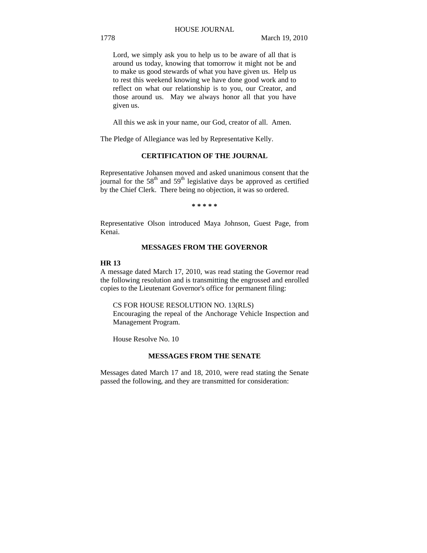# HOUSE JOURNAL

Lord, we simply ask you to help us to be aware of all that is around us today, knowing that tomorrow it might not be and to make us good stewards of what you have given us. Help us to rest this weekend knowing we have done good work and to reflect on what our relationship is to you, our Creator, and those around us. May we always honor all that you have given us.

All this we ask in your name, our God, creator of all. Amen.

The Pledge of Allegiance was led by Representative Kelly.

# **CERTIFICATION OF THE JOURNAL**

Representative Johansen moved and asked unanimous consent that the journal for the  $58<sup>th</sup>$  and  $59<sup>th</sup>$  legislative days be approved as certified by the Chief Clerk. There being no objection, it was so ordered.

**\* \* \* \* \*** 

Representative Olson introduced Maya Johnson, Guest Page, from Kenai.

## **MESSAGES FROM THE GOVERNOR**

#### **HR 13**

A message dated March 17, 2010, was read stating the Governor read the following resolution and is transmitting the engrossed and enrolled copies to the Lieutenant Governor's office for permanent filing:

CS FOR HOUSE RESOLUTION NO. 13(RLS)

Encouraging the repeal of the Anchorage Vehicle Inspection and Management Program.

House Resolve No. 10

## **MESSAGES FROM THE SENATE**

Messages dated March 17 and 18, 2010, were read stating the Senate passed the following, and they are transmitted for consideration: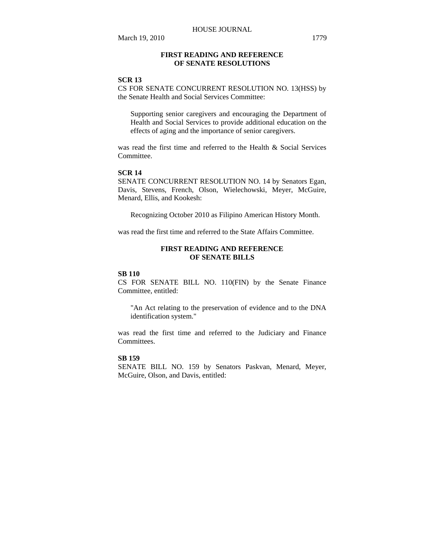# **FIRST READING AND REFERENCE OF SENATE RESOLUTIONS**

# **SCR 13**

CS FOR SENATE CONCURRENT RESOLUTION NO. 13(HSS) by the Senate Health and Social Services Committee:

Supporting senior caregivers and encouraging the Department of Health and Social Services to provide additional education on the effects of aging and the importance of senior caregivers.

was read the first time and referred to the Health & Social Services **Committee** 

## **SCR 14**

SENATE CONCURRENT RESOLUTION NO. 14 by Senators Egan, Davis, Stevens, French, Olson, Wielechowski, Meyer, McGuire, Menard, Ellis, and Kookesh:

Recognizing October 2010 as Filipino American History Month.

was read the first time and referred to the State Affairs Committee.

# **FIRST READING AND REFERENCE OF SENATE BILLS**

## **SB 110**

CS FOR SENATE BILL NO. 110(FIN) by the Senate Finance Committee, entitled:

"An Act relating to the preservation of evidence and to the DNA identification system."

was read the first time and referred to the Judiciary and Finance Committees.

# **SB 159**

SENATE BILL NO. 159 by Senators Paskvan, Menard, Meyer, McGuire, Olson, and Davis, entitled: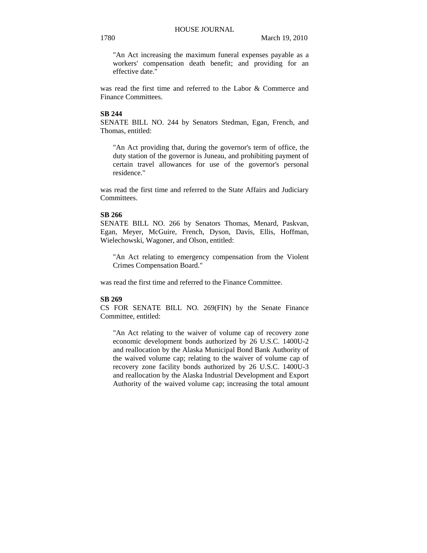"An Act increasing the maximum funeral expenses payable as a workers' compensation death benefit; and providing for an effective date."

was read the first time and referred to the Labor & Commerce and Finance Committees.

## **SB 244**

SENATE BILL NO. 244 by Senators Stedman, Egan, French, and Thomas, entitled:

"An Act providing that, during the governor's term of office, the duty station of the governor is Juneau, and prohibiting payment of certain travel allowances for use of the governor's personal residence."

was read the first time and referred to the State Affairs and Judiciary Committees.

# **SB 266**

SENATE BILL NO. 266 by Senators Thomas, Menard, Paskvan, Egan, Meyer, McGuire, French, Dyson, Davis, Ellis, Hoffman, Wielechowski, Wagoner, and Olson, entitled:

"An Act relating to emergency compensation from the Violent Crimes Compensation Board."

was read the first time and referred to the Finance Committee.

# **SB 269**

CS FOR SENATE BILL NO. 269(FIN) by the Senate Finance Committee, entitled:

"An Act relating to the waiver of volume cap of recovery zone economic development bonds authorized by 26 U.S.C. 1400U-2 and reallocation by the Alaska Municipal Bond Bank Authority of the waived volume cap; relating to the waiver of volume cap of recovery zone facility bonds authorized by 26 U.S.C. 1400U-3 and reallocation by the Alaska Industrial Development and Export Authority of the waived volume cap; increasing the total amount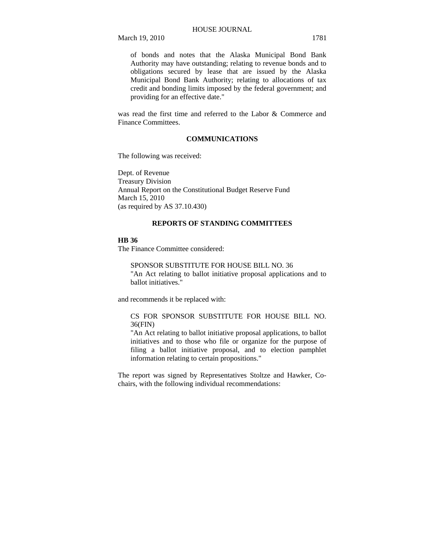of bonds and notes that the Alaska Municipal Bond Bank Authority may have outstanding; relating to revenue bonds and to obligations secured by lease that are issued by the Alaska Municipal Bond Bank Authority; relating to allocations of tax credit and bonding limits imposed by the federal government; and providing for an effective date."

was read the first time and referred to the Labor & Commerce and Finance Committees.

# **COMMUNICATIONS**

The following was received:

Dept. of Revenue Treasury Division Annual Report on the Constitutional Budget Reserve Fund March 15, 2010 (as required by AS 37.10.430)

## **REPORTS OF STANDING COMMITTEES**

## **HB 36**

The Finance Committee considered:

SPONSOR SUBSTITUTE FOR HOUSE BILL NO. 36 "An Act relating to ballot initiative proposal applications and to ballot initiatives."

and recommends it be replaced with:

# CS FOR SPONSOR SUBSTITUTE FOR HOUSE BILL NO. 36(FIN)

"An Act relating to ballot initiative proposal applications, to ballot initiatives and to those who file or organize for the purpose of filing a ballot initiative proposal, and to election pamphlet information relating to certain propositions."

The report was signed by Representatives Stoltze and Hawker, Cochairs, with the following individual recommendations: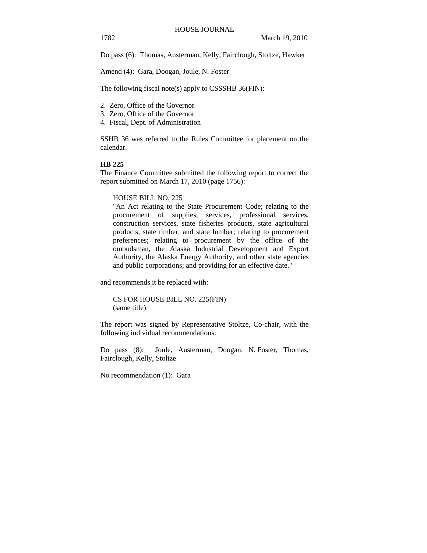Do pass (6): Thomas, Austerman, Kelly, Fairclough, Stoltze, Hawker

Amend (4): Gara, Doogan, Joule, N. Foster

The following fiscal note(s) apply to CSSSHB 36(FIN):

- 2. Zero, Office of the Governor
- 3. Zero, Office of the Governor
- 4. Fiscal, Dept. of Administration

SSHB 36 was referred to the Rules Committee for placement on the calendar.

# **HB 225**

The Finance Committee submitted the following report to correct the report submitted on March 17, 2010 (page 1756):

## HOUSE BILL NO. 225

"An Act relating to the State Procurement Code; relating to the procurement of supplies, services, professional services, construction services, state fisheries products, state agricultural products, state timber, and state lumber; relating to procurement preferences; relating to procurement by the office of the ombudsman, the Alaska Industrial Development and Export Authority, the Alaska Energy Authority, and other state agencies and public corporations; and providing for an effective date."

and recommends it be replaced with:

CS FOR HOUSE BILL NO. 225(FIN) (same title)

The report was signed by Representative Stoltze, Co-chair, with the following individual recommendations:

Do pass (8): Joule, Austerman, Doogan, N. Foster, Thomas, Fairclough, Kelly, Stoltze

No recommendation (1): Gara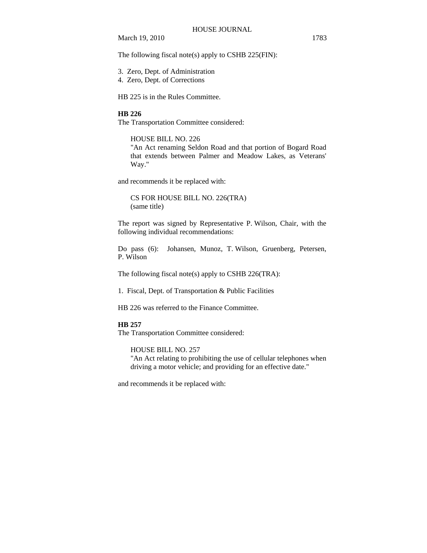The following fiscal note(s) apply to CSHB 225(FIN):

- 3. Zero, Dept. of Administration
- 4. Zero, Dept. of Corrections

HB 225 is in the Rules Committee.

# **HB 226**

The Transportation Committee considered:

# HOUSE BILL NO. 226

"An Act renaming Seldon Road and that portion of Bogard Road that extends between Palmer and Meadow Lakes, as Veterans' Way."

and recommends it be replaced with:

CS FOR HOUSE BILL NO. 226(TRA) (same title)

The report was signed by Representative P. Wilson, Chair, with the following individual recommendations:

Do pass (6): Johansen, Munoz, T. Wilson, Gruenberg, Petersen, P. Wilson

The following fiscal note(s) apply to CSHB 226(TRA):

1. Fiscal, Dept. of Transportation & Public Facilities

HB 226 was referred to the Finance Committee.

## **HB 257**

The Transportation Committee considered:

HOUSE BILL NO. 257 "An Act relating to prohibiting the use of cellular telephones when driving a motor vehicle; and providing for an effective date."

and recommends it be replaced with: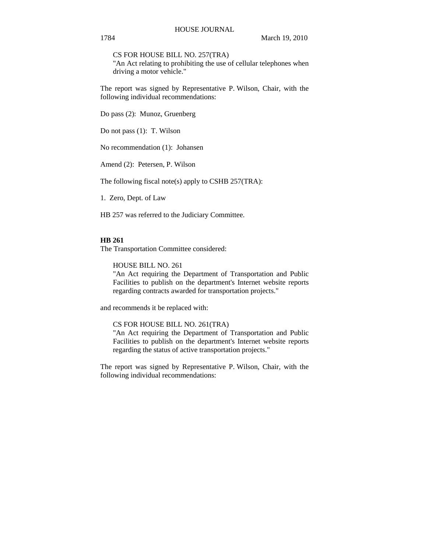CS FOR HOUSE BILL NO. 257(TRA)

"An Act relating to prohibiting the use of cellular telephones when driving a motor vehicle."

The report was signed by Representative P. Wilson, Chair, with the following individual recommendations:

Do pass (2): Munoz, Gruenberg

Do not pass (1): T. Wilson

No recommendation (1): Johansen

Amend (2): Petersen, P. Wilson

The following fiscal note(s) apply to CSHB 257(TRA):

1. Zero, Dept. of Law

HB 257 was referred to the Judiciary Committee.

## **HB 261**

The Transportation Committee considered:

HOUSE BILL NO. 261

"An Act requiring the Department of Transportation and Public Facilities to publish on the department's Internet website reports regarding contracts awarded for transportation projects."

and recommends it be replaced with:

CS FOR HOUSE BILL NO. 261(TRA)

"An Act requiring the Department of Transportation and Public Facilities to publish on the department's Internet website reports regarding the status of active transportation projects."

The report was signed by Representative P. Wilson, Chair, with the following individual recommendations: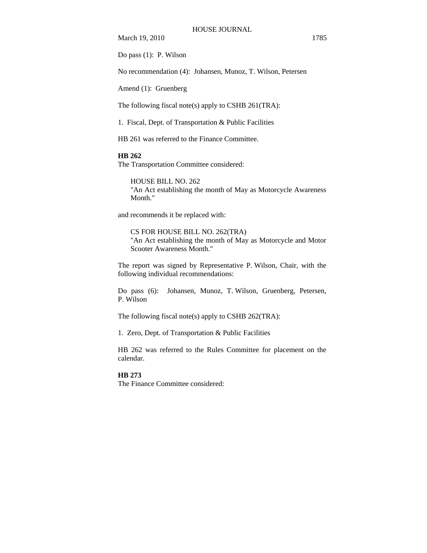Do pass (1): P. Wilson

No recommendation (4): Johansen, Munoz, T. Wilson, Petersen

Amend (1): Gruenberg

The following fiscal note(s) apply to CSHB 261(TRA):

1. Fiscal, Dept. of Transportation & Public Facilities

HB 261 was referred to the Finance Committee.

# **HB 262**

The Transportation Committee considered:

HOUSE BILL NO. 262 "An Act establishing the month of May as Motorcycle Awareness Month."

and recommends it be replaced with:

CS FOR HOUSE BILL NO. 262(TRA) "An Act establishing the month of May as Motorcycle and Motor Scooter Awareness Month."

The report was signed by Representative P. Wilson, Chair, with the following individual recommendations:

Do pass (6): Johansen, Munoz, T. Wilson, Gruenberg, Petersen, P. Wilson

The following fiscal note(s) apply to CSHB 262(TRA):

1. Zero, Dept. of Transportation & Public Facilities

HB 262 was referred to the Rules Committee for placement on the calendar.

# **HB 273**

The Finance Committee considered: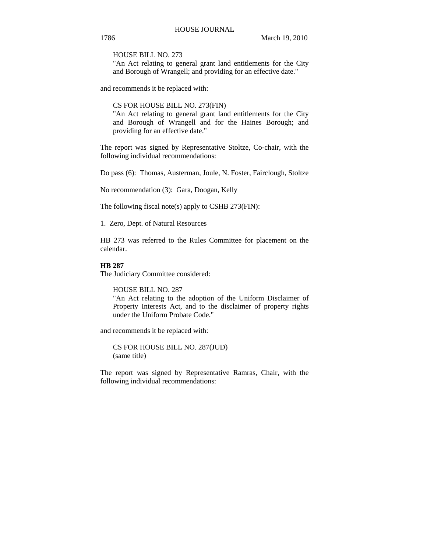HOUSE BILL NO. 273

"An Act relating to general grant land entitlements for the City and Borough of Wrangell; and providing for an effective date."

and recommends it be replaced with:

CS FOR HOUSE BILL NO. 273(FIN)

"An Act relating to general grant land entitlements for the City and Borough of Wrangell and for the Haines Borough; and providing for an effective date."

The report was signed by Representative Stoltze, Co-chair, with the following individual recommendations:

Do pass (6): Thomas, Austerman, Joule, N. Foster, Fairclough, Stoltze

No recommendation (3): Gara, Doogan, Kelly

The following fiscal note(s) apply to CSHB 273(FIN):

1. Zero, Dept. of Natural Resources

HB 273 was referred to the Rules Committee for placement on the calendar.

## **HB 287**

The Judiciary Committee considered:

HOUSE BILL NO. 287

"An Act relating to the adoption of the Uniform Disclaimer of Property Interests Act, and to the disclaimer of property rights under the Uniform Probate Code."

and recommends it be replaced with:

CS FOR HOUSE BILL NO. 287(JUD) (same title)

The report was signed by Representative Ramras, Chair, with the following individual recommendations: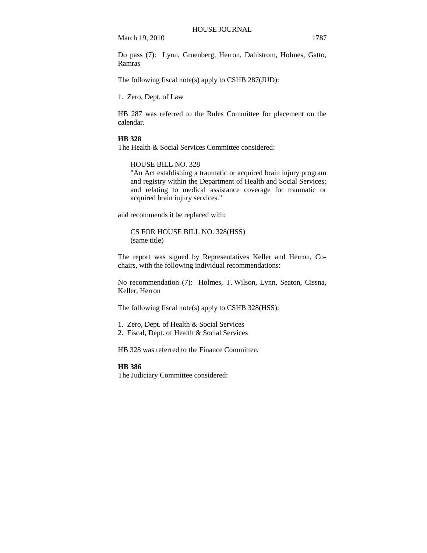Do pass (7): Lynn, Gruenberg, Herron, Dahlstrom, Holmes, Gatto, Ramras

The following fiscal note(s) apply to CSHB 287(JUD):

1. Zero, Dept. of Law

HB 287 was referred to the Rules Committee for placement on the calendar.

# **HB 328**

The Health & Social Services Committee considered:

## HOUSE BILL NO. 328

"An Act establishing a traumatic or acquired brain injury program and registry within the Department of Health and Social Services; and relating to medical assistance coverage for traumatic or acquired brain injury services."

and recommends it be replaced with:

CS FOR HOUSE BILL NO. 328(HSS) (same title)

The report was signed by Representatives Keller and Herron, Cochairs, with the following individual recommendations:

No recommendation (7): Holmes, T. Wilson, Lynn, Seaton, Cissna, Keller, Herron

The following fiscal note(s) apply to CSHB 328(HSS):

1. Zero, Dept. of Health & Social Services

2. Fiscal, Dept. of Health & Social Services

HB 328 was referred to the Finance Committee.

#### **HB 386**

The Judiciary Committee considered: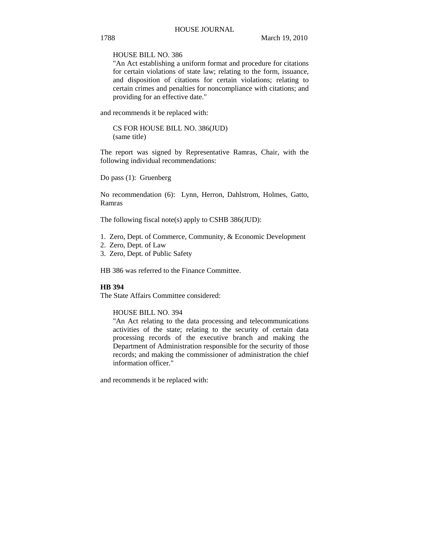HOUSE BILL NO. 386

"An Act establishing a uniform format and procedure for citations for certain violations of state law; relating to the form, issuance, and disposition of citations for certain violations; relating to certain crimes and penalties for noncompliance with citations; and providing for an effective date."

and recommends it be replaced with:

CS FOR HOUSE BILL NO. 386(JUD) (same title)

The report was signed by Representative Ramras, Chair, with the following individual recommendations:

Do pass (1): Gruenberg

No recommendation (6): Lynn, Herron, Dahlstrom, Holmes, Gatto, Ramras

The following fiscal note(s) apply to CSHB 386(JUD):

- 1. Zero, Dept. of Commerce, Community, & Economic Development
- 2. Zero, Dept. of Law
- 3. Zero, Dept. of Public Safety

HB 386 was referred to the Finance Committee.

## **HB 394**

The State Affairs Committee considered:

# HOUSE BILL NO. 394

"An Act relating to the data processing and telecommunications activities of the state; relating to the security of certain data processing records of the executive branch and making the Department of Administration responsible for the security of those records; and making the commissioner of administration the chief information officer."

and recommends it be replaced with: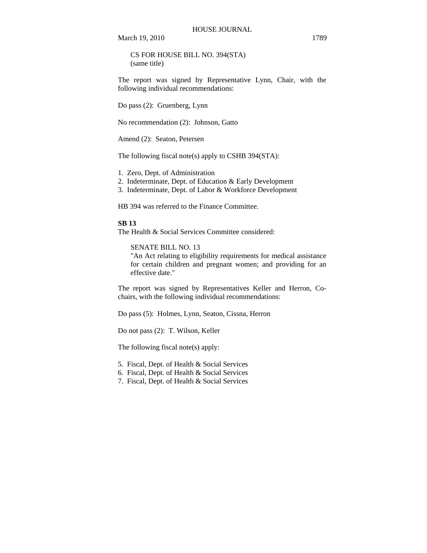CS FOR HOUSE BILL NO. 394(STA) (same title)

The report was signed by Representative Lynn, Chair, with the following individual recommendations:

Do pass (2): Gruenberg, Lynn

No recommendation (2): Johnson, Gatto

Amend (2): Seaton, Petersen

The following fiscal note(s) apply to CSHB 394(STA):

1. Zero, Dept. of Administration

- 2. Indeterminate, Dept. of Education & Early Development
- 3. Indeterminate, Dept. of Labor & Workforce Development

HB 394 was referred to the Finance Committee.

## **SB 13**

The Health & Social Services Committee considered:

SENATE BILL NO. 13

"An Act relating to eligibility requirements for medical assistance for certain children and pregnant women; and providing for an effective date."

The report was signed by Representatives Keller and Herron, Cochairs, with the following individual recommendations:

Do pass (5): Holmes, Lynn, Seaton, Cissna, Herron

Do not pass (2): T. Wilson, Keller

The following fiscal note(s) apply:

5. Fiscal, Dept. of Health & Social Services

6. Fiscal, Dept. of Health & Social Services

7. Fiscal, Dept. of Health & Social Services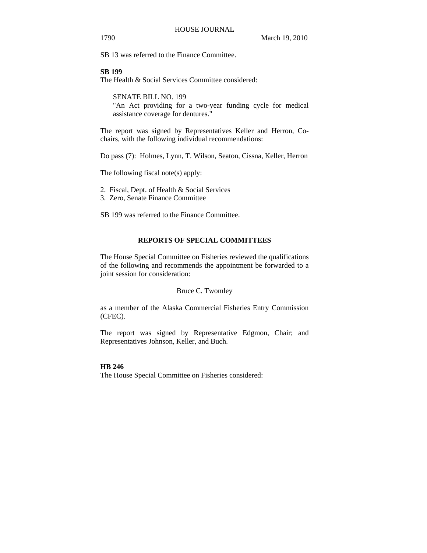SB 13 was referred to the Finance Committee.

## **SB 199**

The Health & Social Services Committee considered:

SENATE BILL NO. 199 "An Act providing for a two-year funding cycle for medical assistance coverage for dentures."

The report was signed by Representatives Keller and Herron, Cochairs, with the following individual recommendations:

Do pass (7): Holmes, Lynn, T. Wilson, Seaton, Cissna, Keller, Herron

The following fiscal note(s) apply:

2. Fiscal, Dept. of Health & Social Services

3. Zero, Senate Finance Committee

SB 199 was referred to the Finance Committee.

# **REPORTS OF SPECIAL COMMITTEES**

The House Special Committee on Fisheries reviewed the qualifications of the following and recommends the appointment be forwarded to a joint session for consideration:

#### Bruce C. Twomley

as a member of the Alaska Commercial Fisheries Entry Commission (CFEC).

The report was signed by Representative Edgmon, Chair; and Representatives Johnson, Keller, and Buch.

## **HB 246**

The House Special Committee on Fisheries considered: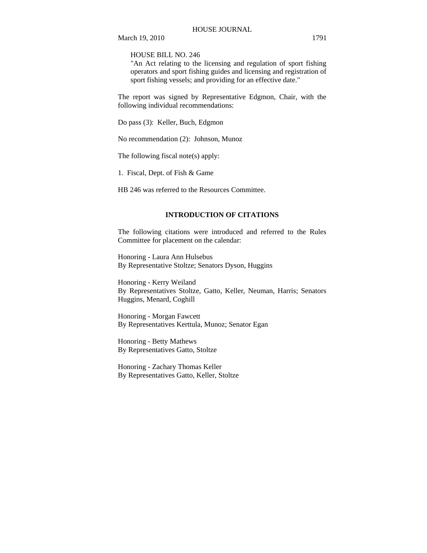HOUSE BILL NO. 246

"An Act relating to the licensing and regulation of sport fishing operators and sport fishing guides and licensing and registration of sport fishing vessels; and providing for an effective date."

The report was signed by Representative Edgmon, Chair, with the following individual recommendations:

Do pass (3): Keller, Buch, Edgmon

No recommendation (2): Johnson, Munoz

The following fiscal note(s) apply:

1. Fiscal, Dept. of Fish & Game

HB 246 was referred to the Resources Committee.

# **INTRODUCTION OF CITATIONS**

The following citations were introduced and referred to the Rules Committee for placement on the calendar:

Honoring - Laura Ann Hulsebus By Representative Stoltze; Senators Dyson, Huggins

Honoring - Kerry Weiland By Representatives Stoltze, Gatto, Keller, Neuman, Harris; Senators Huggins, Menard, Coghill

Honoring - Morgan Fawcett By Representatives Kerttula, Munoz; Senator Egan

Honoring - Betty Mathews By Representatives Gatto, Stoltze

Honoring - Zachary Thomas Keller By Representatives Gatto, Keller, Stoltze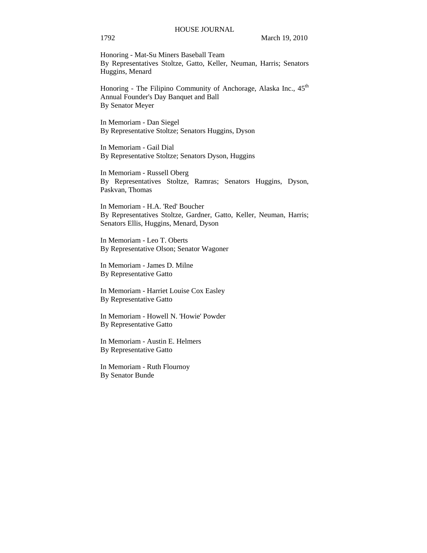# HOUSE JOURNAL

# 1792 March 19, 2010

Honoring - Mat-Su Miners Baseball Team By Representatives Stoltze, Gatto, Keller, Neuman, Harris; Senators Huggins, Menard

Honoring - The Filipino Community of Anchorage, Alaska Inc., 45<sup>th</sup> Annual Founder's Day Banquet and Ball By Senator Meyer

In Memoriam - Dan Siegel By Representative Stoltze; Senators Huggins, Dyson

In Memoriam - Gail Dial By Representative Stoltze; Senators Dyson, Huggins

In Memoriam - Russell Oberg By Representatives Stoltze, Ramras; Senators Huggins, Dyson, Paskvan, Thomas

In Memoriam - H.A. 'Red' Boucher By Representatives Stoltze, Gardner, Gatto, Keller, Neuman, Harris; Senators Ellis, Huggins, Menard, Dyson

In Memoriam - Leo T. Oberts By Representative Olson; Senator Wagoner

In Memoriam - James D. Milne By Representative Gatto

In Memoriam - Harriet Louise Cox Easley By Representative Gatto

In Memoriam - Howell N. 'Howie' Powder By Representative Gatto

In Memoriam - Austin E. Helmers By Representative Gatto

In Memoriam - Ruth Flournoy By Senator Bunde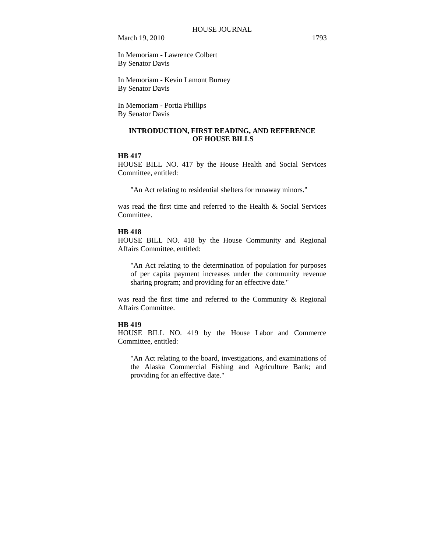In Memoriam - Lawrence Colbert By Senator Davis

In Memoriam - Kevin Lamont Burney By Senator Davis

In Memoriam - Portia Phillips By Senator Davis

# **INTRODUCTION, FIRST READING, AND REFERENCE OF HOUSE BILLS**

# **HB 417**

HOUSE BILL NO. 417 by the House Health and Social Services Committee, entitled:

"An Act relating to residential shelters for runaway minors."

was read the first time and referred to the Health & Social Services Committee.

# **HB 418**

HOUSE BILL NO. 418 by the House Community and Regional Affairs Committee, entitled:

"An Act relating to the determination of population for purposes of per capita payment increases under the community revenue sharing program; and providing for an effective date."

was read the first time and referred to the Community & Regional Affairs Committee.

# **HB 419**

HOUSE BILL NO. 419 by the House Labor and Commerce Committee, entitled:

"An Act relating to the board, investigations, and examinations of the Alaska Commercial Fishing and Agriculture Bank; and providing for an effective date."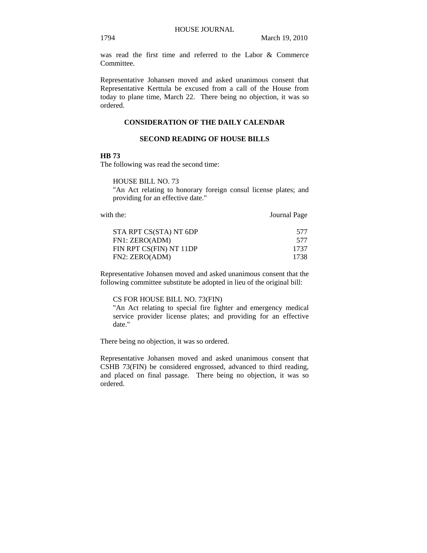was read the first time and referred to the Labor & Commerce Committee.

Representative Johansen moved and asked unanimous consent that Representative Kerttula be excused from a call of the House from today to plane time, March 22. There being no objection, it was so ordered.

# **CONSIDERATION OF THE DAILY CALENDAR**

# **SECOND READING OF HOUSE BILLS**

## **HB 73**

The following was read the second time:

HOUSE BILL NO. 73

"An Act relating to honorary foreign consul license plates; and providing for an effective date."

with the: **Journal Page** 

| 577  |
|------|
| 577  |
| 1737 |
| 1738 |
|      |

Representative Johansen moved and asked unanimous consent that the following committee substitute be adopted in lieu of the original bill:

# CS FOR HOUSE BILL NO. 73(FIN)

"An Act relating to special fire fighter and emergency medical service provider license plates; and providing for an effective date."

There being no objection, it was so ordered.

Representative Johansen moved and asked unanimous consent that CSHB 73(FIN) be considered engrossed, advanced to third reading, and placed on final passage. There being no objection, it was so ordered.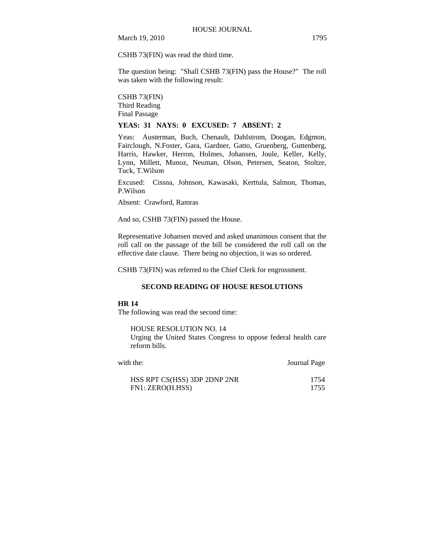CSHB 73(FIN) was read the third time.

The question being: "Shall CSHB 73(FIN) pass the House?" The roll was taken with the following result:

CSHB 73(FIN) Third Reading Final Passage

## **YEAS: 31 NAYS: 0 EXCUSED: 7 ABSENT: 2**

Yeas: Austerman, Buch, Chenault, Dahlstrom, Doogan, Edgmon, Fairclough, N.Foster, Gara, Gardner, Gatto, Gruenberg, Guttenberg, Harris, Hawker, Herron, Holmes, Johansen, Joule, Keller, Kelly, Lynn, Millett, Munoz, Neuman, Olson, Petersen, Seaton, Stoltze, Tuck, T.Wilson

Excused: Cissna, Johnson, Kawasaki, Kerttula, Salmon, Thomas, P.Wilson

Absent: Crawford, Ramras

And so, CSHB 73(FIN) passed the House.

Representative Johansen moved and asked unanimous consent that the roll call on the passage of the bill be considered the roll call on the effective date clause. There being no objection, it was so ordered.

CSHB 73(FIN) was referred to the Chief Clerk for engrossment.

# **SECOND READING OF HOUSE RESOLUTIONS**

## **HR 14**

The following was read the second time:

HOUSE RESOLUTION NO. 14

Urging the United States Congress to oppose federal health care reform bills.

| with the:                    | Journal Page |
|------------------------------|--------------|
| HSS RPT CS(HSS) 3DP 2DNP 2NR | 1754         |
| FN1: ZERO(H.HSS)             | 1755         |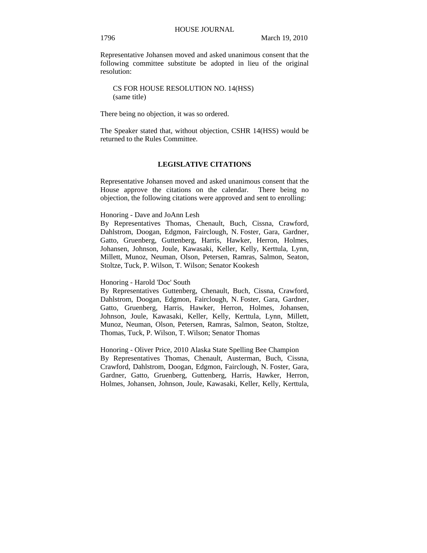Representative Johansen moved and asked unanimous consent that the following committee substitute be adopted in lieu of the original resolution:

CS FOR HOUSE RESOLUTION NO. 14(HSS) (same title)

There being no objection, it was so ordered.

The Speaker stated that, without objection, CSHR 14(HSS) would be returned to the Rules Committee.

## **LEGISLATIVE CITATIONS**

Representative Johansen moved and asked unanimous consent that the House approve the citations on the calendar. There being no objection, the following citations were approved and sent to enrolling:

## Honoring - Dave and JoAnn Lesh

By Representatives Thomas, Chenault, Buch, Cissna, Crawford, Dahlstrom, Doogan, Edgmon, Fairclough, N. Foster, Gara, Gardner, Gatto, Gruenberg, Guttenberg, Harris, Hawker, Herron, Holmes, Johansen, Johnson, Joule, Kawasaki, Keller, Kelly, Kerttula, Lynn, Millett, Munoz, Neuman, Olson, Petersen, Ramras, Salmon, Seaton, Stoltze, Tuck, P. Wilson, T. Wilson; Senator Kookesh

## Honoring - Harold 'Doc' South

By Representatives Guttenberg, Chenault, Buch, Cissna, Crawford, Dahlstrom, Doogan, Edgmon, Fairclough, N. Foster, Gara, Gardner, Gatto, Gruenberg, Harris, Hawker, Herron, Holmes, Johansen, Johnson, Joule, Kawasaki, Keller, Kelly, Kerttula, Lynn, Millett, Munoz, Neuman, Olson, Petersen, Ramras, Salmon, Seaton, Stoltze, Thomas, Tuck, P. Wilson, T. Wilson; Senator Thomas

Honoring - Oliver Price, 2010 Alaska State Spelling Bee Champion By Representatives Thomas, Chenault, Austerman, Buch, Cissna, Crawford, Dahlstrom, Doogan, Edgmon, Fairclough, N. Foster, Gara, Gardner, Gatto, Gruenberg, Guttenberg, Harris, Hawker, Herron, Holmes, Johansen, Johnson, Joule, Kawasaki, Keller, Kelly, Kerttula,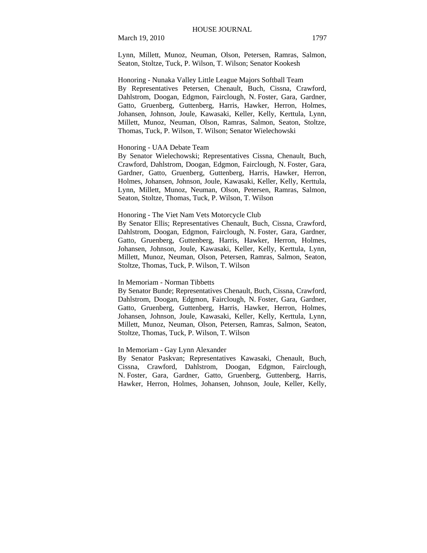Lynn, Millett, Munoz, Neuman, Olson, Petersen, Ramras, Salmon, Seaton, Stoltze, Tuck, P. Wilson, T. Wilson; Senator Kookesh

Honoring - Nunaka Valley Little League Majors Softball Team By Representatives Petersen, Chenault, Buch, Cissna, Crawford, Dahlstrom, Doogan, Edgmon, Fairclough, N. Foster, Gara, Gardner, Gatto, Gruenberg, Guttenberg, Harris, Hawker, Herron, Holmes, Johansen, Johnson, Joule, Kawasaki, Keller, Kelly, Kerttula, Lynn, Millett, Munoz, Neuman, Olson, Ramras, Salmon, Seaton, Stoltze, Thomas, Tuck, P. Wilson, T. Wilson; Senator Wielechowski

#### Honoring - UAA Debate Team

By Senator Wielechowski; Representatives Cissna, Chenault, Buch, Crawford, Dahlstrom, Doogan, Edgmon, Fairclough, N. Foster, Gara, Gardner, Gatto, Gruenberg, Guttenberg, Harris, Hawker, Herron, Holmes, Johansen, Johnson, Joule, Kawasaki, Keller, Kelly, Kerttula, Lynn, Millett, Munoz, Neuman, Olson, Petersen, Ramras, Salmon, Seaton, Stoltze, Thomas, Tuck, P. Wilson, T. Wilson

## Honoring - The Viet Nam Vets Motorcycle Club

By Senator Ellis; Representatives Chenault, Buch, Cissna, Crawford, Dahlstrom, Doogan, Edgmon, Fairclough, N. Foster, Gara, Gardner, Gatto, Gruenberg, Guttenberg, Harris, Hawker, Herron, Holmes, Johansen, Johnson, Joule, Kawasaki, Keller, Kelly, Kerttula, Lynn, Millett, Munoz, Neuman, Olson, Petersen, Ramras, Salmon, Seaton, Stoltze, Thomas, Tuck, P. Wilson, T. Wilson

#### In Memoriam - Norman Tibbetts

By Senator Bunde; Representatives Chenault, Buch, Cissna, Crawford, Dahlstrom, Doogan, Edgmon, Fairclough, N. Foster, Gara, Gardner, Gatto, Gruenberg, Guttenberg, Harris, Hawker, Herron, Holmes, Johansen, Johnson, Joule, Kawasaki, Keller, Kelly, Kerttula, Lynn, Millett, Munoz, Neuman, Olson, Petersen, Ramras, Salmon, Seaton, Stoltze, Thomas, Tuck, P. Wilson, T. Wilson

## In Memoriam - Gay Lynn Alexander

By Senator Paskvan; Representatives Kawasaki, Chenault, Buch, Cissna, Crawford, Dahlstrom, Doogan, Edgmon, Fairclough, N. Foster, Gara, Gardner, Gatto, Gruenberg, Guttenberg, Harris, Hawker, Herron, Holmes, Johansen, Johnson, Joule, Keller, Kelly,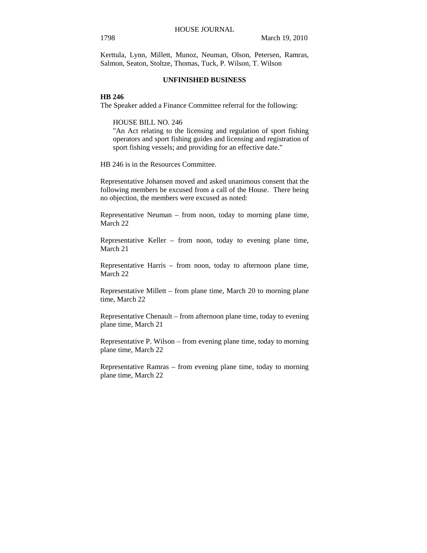Kerttula, Lynn, Millett, Munoz, Neuman, Olson, Petersen, Ramras, Salmon, Seaton, Stoltze, Thomas, Tuck, P. Wilson, T. Wilson

# **UNFINISHED BUSINESS**

# **HB 246**

The Speaker added a Finance Committee referral for the following:

HOUSE BILL NO. 246

"An Act relating to the licensing and regulation of sport fishing operators and sport fishing guides and licensing and registration of sport fishing vessels; and providing for an effective date."

HB 246 is in the Resources Committee.

Representative Johansen moved and asked unanimous consent that the following members be excused from a call of the House. There being no objection, the members were excused as noted:

Representative Neuman – from noon, today to morning plane time, March 22

Representative Keller – from noon, today to evening plane time, March 21

Representative Harris – from noon, today to afternoon plane time, March 22

Representative Millett – from plane time, March 20 to morning plane time, March 22

Representative Chenault – from afternoon plane time, today to evening plane time, March 21

Representative P. Wilson – from evening plane time, today to morning plane time, March 22

Representative Ramras – from evening plane time, today to morning plane time, March 22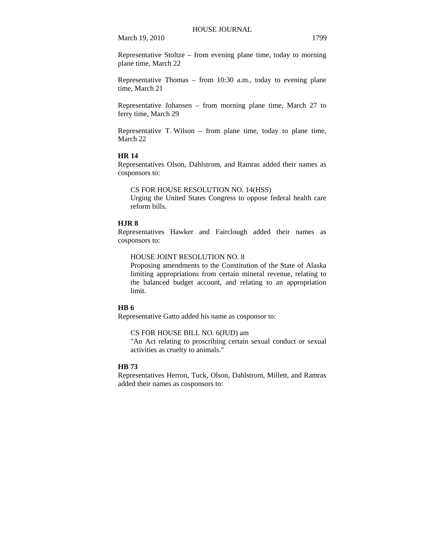Representative Stoltze – from evening plane time, today to morning plane time, March 22

Representative Thomas – from 10:30 a.m., today to evening plane time, March 21

Representative Johansen – from morning plane time, March 27 to ferry time, March 29

Representative T. Wilson – from plane time, today to plane time, March 22

# **HR 14**

Representatives Olson, Dahlstrom, and Ramras added their names as cosponsors to:

CS FOR HOUSE RESOLUTION NO. 14(HSS) Urging the United States Congress to oppose federal health care reform bills.

# **HJR 8**

Representatives Hawker and Fairclough added their names as cosponsors to:

HOUSE JOINT RESOLUTION NO. 8

Proposing amendments to the Constitution of the State of Alaska limiting appropriations from certain mineral revenue, relating to the balanced budget account, and relating to an appropriation limit.

# **HB 6**

Representative Gatto added his name as cosponsor to:

CS FOR HOUSE BILL NO. 6(JUD) am

"An Act relating to proscribing certain sexual conduct or sexual activities as cruelty to animals."

# **HB 73**

Representatives Herron, Tuck, Olson, Dahlstrom, Millett, and Ramras added their names as cosponsors to: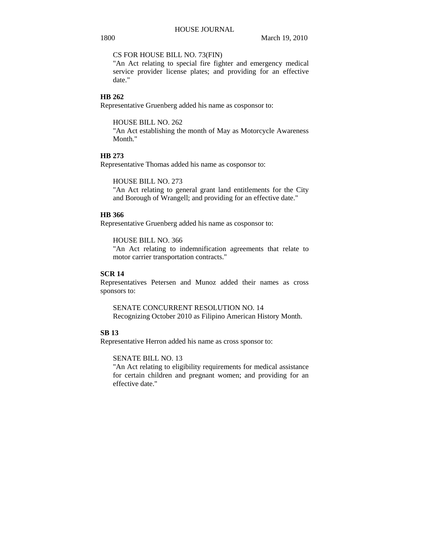CS FOR HOUSE BILL NO. 73(FIN)

"An Act relating to special fire fighter and emergency medical service provider license plates; and providing for an effective date."

# **HB 262**

Representative Gruenberg added his name as cosponsor to:

HOUSE BILL NO. 262

"An Act establishing the month of May as Motorcycle Awareness Month."

# **HB 273**

Representative Thomas added his name as cosponsor to:

HOUSE BILL NO. 273

"An Act relating to general grant land entitlements for the City and Borough of Wrangell; and providing for an effective date."

# **HB 366**

Representative Gruenberg added his name as cosponsor to:

HOUSE BILL NO. 366

"An Act relating to indemnification agreements that relate to motor carrier transportation contracts."

# **SCR 14**

Representatives Petersen and Munoz added their names as cross sponsors to:

SENATE CONCURRENT RESOLUTION NO. 14 Recognizing October 2010 as Filipino American History Month.

# **SB 13**

Representative Herron added his name as cross sponsor to:

# SENATE BILL NO. 13

"An Act relating to eligibility requirements for medical assistance for certain children and pregnant women; and providing for an effective date."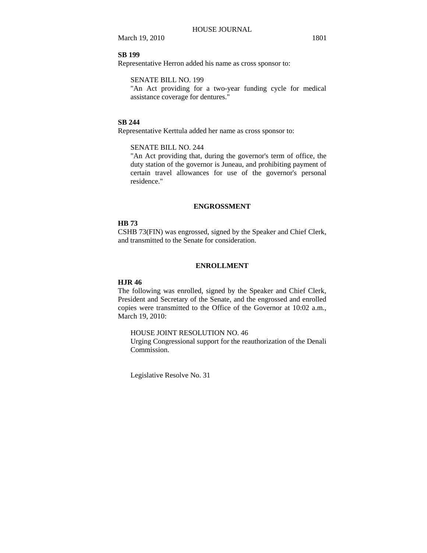# **SB 199**

Representative Herron added his name as cross sponsor to:

# SENATE BILL NO. 199

"An Act providing for a two-year funding cycle for medical assistance coverage for dentures."

## **SB 244**

Representative Kerttula added her name as cross sponsor to:

SENATE BILL NO. 244

"An Act providing that, during the governor's term of office, the duty station of the governor is Juneau, and prohibiting payment of certain travel allowances for use of the governor's personal residence."

## **ENGROSSMENT**

## **HB 73**

CSHB 73(FIN) was engrossed, signed by the Speaker and Chief Clerk, and transmitted to the Senate for consideration.

# **ENROLLMENT**

## **HJR 46**

The following was enrolled, signed by the Speaker and Chief Clerk, President and Secretary of the Senate, and the engrossed and enrolled copies were transmitted to the Office of the Governor at 10:02 a.m., March 19, 2010:

## HOUSE JOINT RESOLUTION NO. 46

Urging Congressional support for the reauthorization of the Denali Commission.

Legislative Resolve No. 31